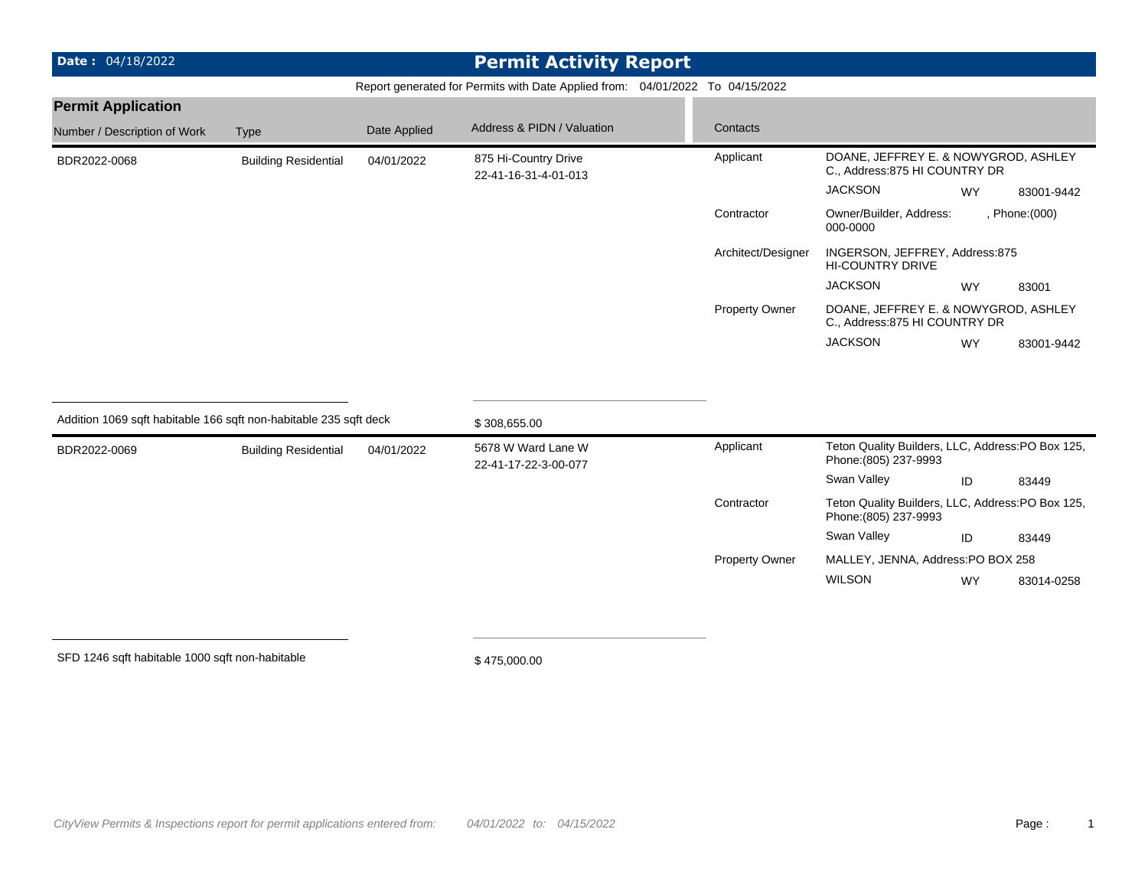| <b>Date: 04/18/2022</b>                                           |                             |              | <b>Permit Activity Report</b>                                                 |                       |                                                                           |           |                |
|-------------------------------------------------------------------|-----------------------------|--------------|-------------------------------------------------------------------------------|-----------------------|---------------------------------------------------------------------------|-----------|----------------|
|                                                                   |                             |              | Report generated for Permits with Date Applied from: 04/01/2022 To 04/15/2022 |                       |                                                                           |           |                |
| <b>Permit Application</b>                                         |                             |              |                                                                               |                       |                                                                           |           |                |
| Number / Description of Work                                      | <b>Type</b>                 | Date Applied | Address & PIDN / Valuation                                                    | Contacts              |                                                                           |           |                |
| BDR2022-0068                                                      | <b>Building Residential</b> | 04/01/2022   | 875 Hi-Country Drive<br>22-41-16-31-4-01-013                                  | Applicant             | DOANE, JEFFREY E. & NOWYGROD, ASHLEY<br>C., Address: 875 HI COUNTRY DR    |           |                |
|                                                                   |                             |              |                                                                               |                       | <b>JACKSON</b>                                                            | <b>WY</b> | 83001-9442     |
|                                                                   |                             |              |                                                                               | Contractor            | Owner/Builder, Address:<br>000-0000                                       |           | , Phone: (000) |
|                                                                   |                             |              |                                                                               | Architect/Designer    | INGERSON, JEFFREY, Address:875<br><b>HI-COUNTRY DRIVE</b>                 |           |                |
|                                                                   |                             |              |                                                                               |                       | <b>JACKSON</b>                                                            | <b>WY</b> | 83001          |
|                                                                   |                             |              |                                                                               | Property Owner        | DOANE, JEFFREY E. & NOWYGROD, ASHLEY<br>C., Address: 875 HI COUNTRY DR    |           |                |
|                                                                   |                             |              |                                                                               |                       | <b>JACKSON</b>                                                            | <b>WY</b> | 83001-9442     |
|                                                                   |                             |              |                                                                               |                       |                                                                           |           |                |
| Addition 1069 sqft habitable 166 sqft non-habitable 235 sqft deck |                             |              | \$308,655.00                                                                  |                       |                                                                           |           |                |
| BDR2022-0069                                                      | <b>Building Residential</b> | 04/01/2022   | 5678 W Ward Lane W<br>22-41-17-22-3-00-077                                    | Applicant             | Teton Quality Builders, LLC, Address:PO Box 125,<br>Phone: (805) 237-9993 |           |                |
|                                                                   |                             |              |                                                                               |                       | Swan Valley                                                               | ID        | 83449          |
|                                                                   |                             |              |                                                                               | Contractor            | Teton Quality Builders, LLC, Address:PO Box 125,<br>Phone: (805) 237-9993 |           |                |
|                                                                   |                             |              |                                                                               |                       | Swan Valley                                                               | ID        | 83449          |
|                                                                   |                             |              |                                                                               | <b>Property Owner</b> | MALLEY, JENNA, Address:PO BOX 258                                         |           |                |
|                                                                   |                             |              |                                                                               |                       | <b>WILSON</b>                                                             | <b>WY</b> | 83014-0258     |
|                                                                   |                             |              |                                                                               |                       |                                                                           |           |                |
|                                                                   |                             |              |                                                                               |                       |                                                                           |           |                |

SFD 1246 sqft habitable 1000 sqft non-habitable

\$ 475,000.00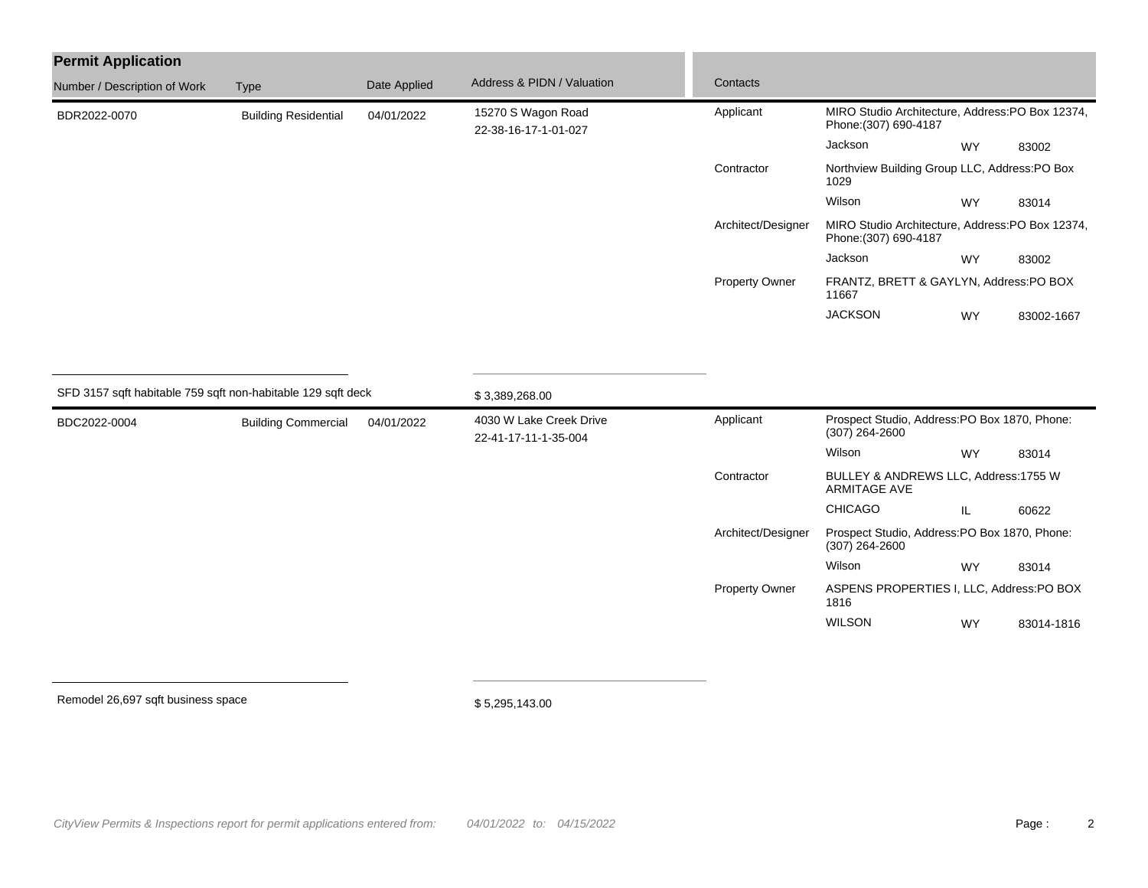| <b>Permit Application</b>                                    |                             |              |                                                 |                    |                                                                          |                                      |            |  |
|--------------------------------------------------------------|-----------------------------|--------------|-------------------------------------------------|--------------------|--------------------------------------------------------------------------|--------------------------------------|------------|--|
| Number / Description of Work                                 | <b>Type</b>                 | Date Applied | Address & PIDN / Valuation                      | Contacts           |                                                                          |                                      |            |  |
| BDR2022-0070                                                 | <b>Building Residential</b> | 04/01/2022   | 15270 S Wagon Road<br>22-38-16-17-1-01-027      | Applicant          | MIRO Studio Architecture, Address:PO Box 12374,<br>Phone: (307) 690-4187 |                                      |            |  |
|                                                              |                             |              |                                                 |                    | Jackson                                                                  | <b>WY</b>                            | 83002      |  |
|                                                              |                             |              |                                                 | Contractor         | Northview Building Group LLC, Address:PO Box<br>1029                     |                                      |            |  |
|                                                              |                             |              |                                                 |                    | Wilson                                                                   | <b>WY</b>                            | 83014      |  |
|                                                              |                             |              |                                                 | Architect/Designer | MIRO Studio Architecture, Address:PO Box 12374,<br>Phone: (307) 690-4187 |                                      |            |  |
|                                                              |                             |              |                                                 |                    | Jackson                                                                  | <b>WY</b>                            | 83002      |  |
|                                                              |                             |              |                                                 | Property Owner     | FRANTZ, BRETT & GAYLYN, Address:PO BOX<br>11667                          |                                      |            |  |
|                                                              |                             |              |                                                 |                    | <b>JACKSON</b>                                                           | <b>WY</b>                            | 83002-1667 |  |
|                                                              |                             |              |                                                 |                    |                                                                          |                                      |            |  |
| SFD 3157 sqft habitable 759 sqft non-habitable 129 sqft deck |                             |              | \$3,389,268.00                                  |                    |                                                                          |                                      |            |  |
| BDC2022-0004                                                 | <b>Building Commercial</b>  | 04/01/2022   | 4030 W Lake Creek Drive<br>22-41-17-11-1-35-004 | Applicant          | Prospect Studio, Address:PO Box 1870, Phone:<br>$(307)$ 264-2600         |                                      |            |  |
|                                                              |                             |              |                                                 |                    | Wilson                                                                   | <b>WY</b>                            | 83014      |  |
|                                                              |                             |              |                                                 | Contractor         | <b>ARMITAGE AVE</b>                                                      | BULLEY & ANDREWS LLC, Address:1755 W |            |  |
|                                                              |                             |              |                                                 |                    | CHICAGO                                                                  | IL                                   | 60622      |  |
|                                                              |                             |              |                                                 | Architect/Designer | Prospect Studio, Address:PO Box 1870, Phone:<br>$(307)$ 264-2600         |                                      |            |  |
|                                                              |                             |              |                                                 |                    | Wilson                                                                   | WY                                   | 83014      |  |
|                                                              |                             |              |                                                 | Property Owner     | ASPENS PROPERTIES I, LLC, Address:PO BOX<br>1816                         |                                      |            |  |
|                                                              |                             |              |                                                 |                    | <b>WILSON</b>                                                            | <b>WY</b>                            | 83014-1816 |  |
|                                                              |                             |              |                                                 |                    |                                                                          |                                      |            |  |

Remodel 26,697 sqft business space

\$ 5,295,143.00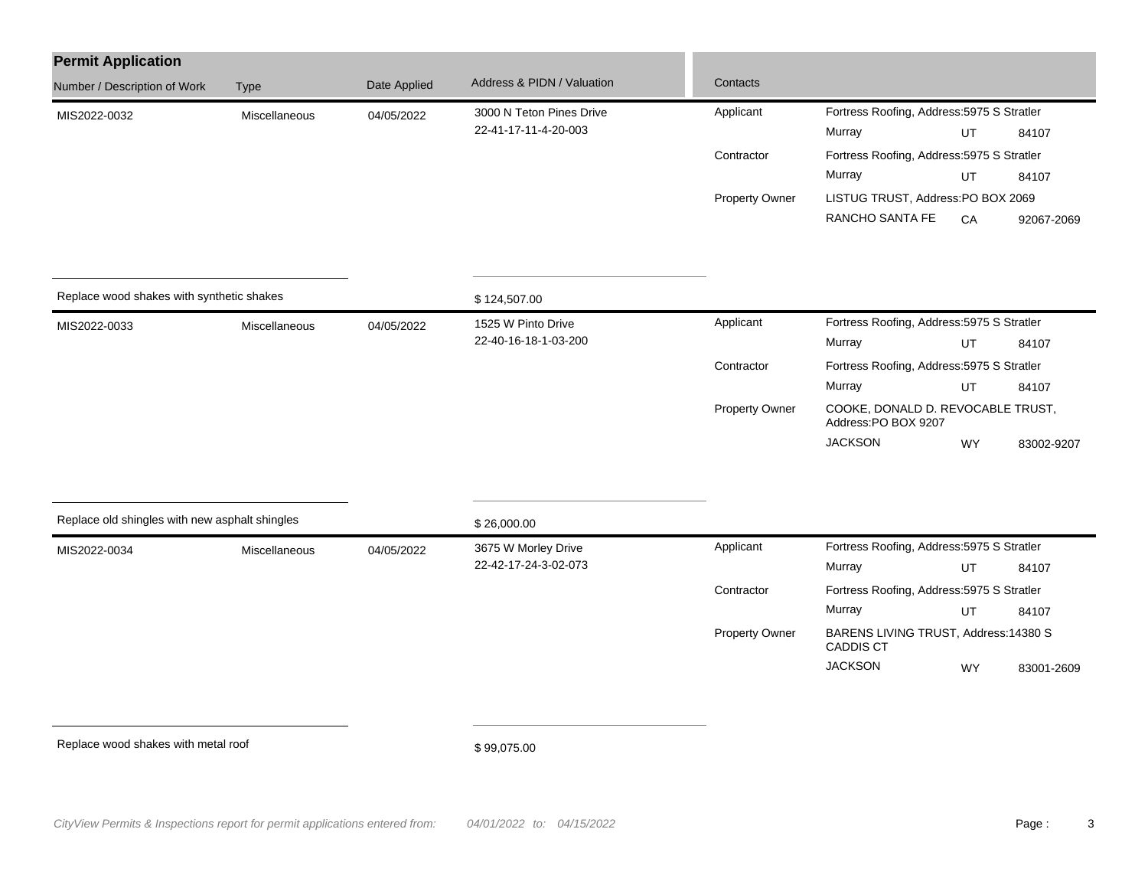| <b>Permit Application</b>                      |               |              |                                    |                |                                                           |                                            |            |  |  |
|------------------------------------------------|---------------|--------------|------------------------------------|----------------|-----------------------------------------------------------|--------------------------------------------|------------|--|--|
| Number / Description of Work                   | Type          | Date Applied | Address & PIDN / Valuation         | Contacts       |                                                           |                                            |            |  |  |
| MIS2022-0032                                   | Miscellaneous | 04/05/2022   | 3000 N Teton Pines Drive           | Applicant      | Fortress Roofing, Address: 5975 S Stratler                |                                            |            |  |  |
|                                                |               |              | 22-41-17-11-4-20-003               |                | Murray                                                    | UT                                         | 84107      |  |  |
|                                                |               |              |                                    | Contractor     | Fortress Roofing, Address: 5975 S Stratler                |                                            |            |  |  |
|                                                |               |              |                                    |                | Murray                                                    | UT                                         | 84107      |  |  |
|                                                |               |              |                                    | Property Owner | LISTUG TRUST, Address:PO BOX 2069                         |                                            |            |  |  |
|                                                |               |              |                                    |                | RANCHO SANTA FE                                           | CA                                         | 92067-2069 |  |  |
| Replace wood shakes with synthetic shakes      |               |              |                                    |                |                                                           |                                            |            |  |  |
| Miscellaneous                                  |               |              | \$124,507.00<br>1525 W Pinto Drive | Applicant      |                                                           | Fortress Roofing, Address: 5975 S Stratler |            |  |  |
| MIS2022-0033                                   |               | 04/05/2022   | 22-40-16-18-1-03-200               |                | Murray                                                    | UT                                         | 84107      |  |  |
|                                                |               |              |                                    | Contractor     | Fortress Roofing, Address: 5975 S Stratler                |                                            |            |  |  |
|                                                |               |              |                                    |                | Murray                                                    | UT                                         | 84107      |  |  |
|                                                |               |              |                                    | Property Owner | COOKE, DONALD D. REVOCABLE TRUST,<br>Address:PO BOX 9207  |                                            |            |  |  |
|                                                |               |              |                                    |                | <b>JACKSON</b>                                            | WY                                         | 83002-9207 |  |  |
| Replace old shingles with new asphalt shingles |               |              | \$26,000.00                        |                |                                                           |                                            |            |  |  |
|                                                |               |              | 3675 W Morley Drive                | Applicant      | Fortress Roofing, Address: 5975 S Stratler                |                                            |            |  |  |
| MIS2022-0034                                   | Miscellaneous | 04/05/2022   | 22-42-17-24-3-02-073               |                | Murray                                                    | UT                                         | 84107      |  |  |
|                                                |               |              |                                    | Contractor     | Fortress Roofing, Address: 5975 S Stratler                |                                            |            |  |  |
|                                                |               |              |                                    |                | Murray                                                    | UT                                         | 84107      |  |  |
|                                                |               |              |                                    | Property Owner | BARENS LIVING TRUST, Address: 14380 S<br><b>CADDIS CT</b> |                                            |            |  |  |
|                                                |               |              |                                    |                | <b>JACKSON</b>                                            | <b>WY</b>                                  | 83001-2609 |  |  |
|                                                |               |              |                                    |                |                                                           |                                            |            |  |  |
| Replace wood shakes with metal roof            |               |              | \$99,075.00                        |                |                                                           |                                            |            |  |  |
|                                                |               |              |                                    |                |                                                           |                                            |            |  |  |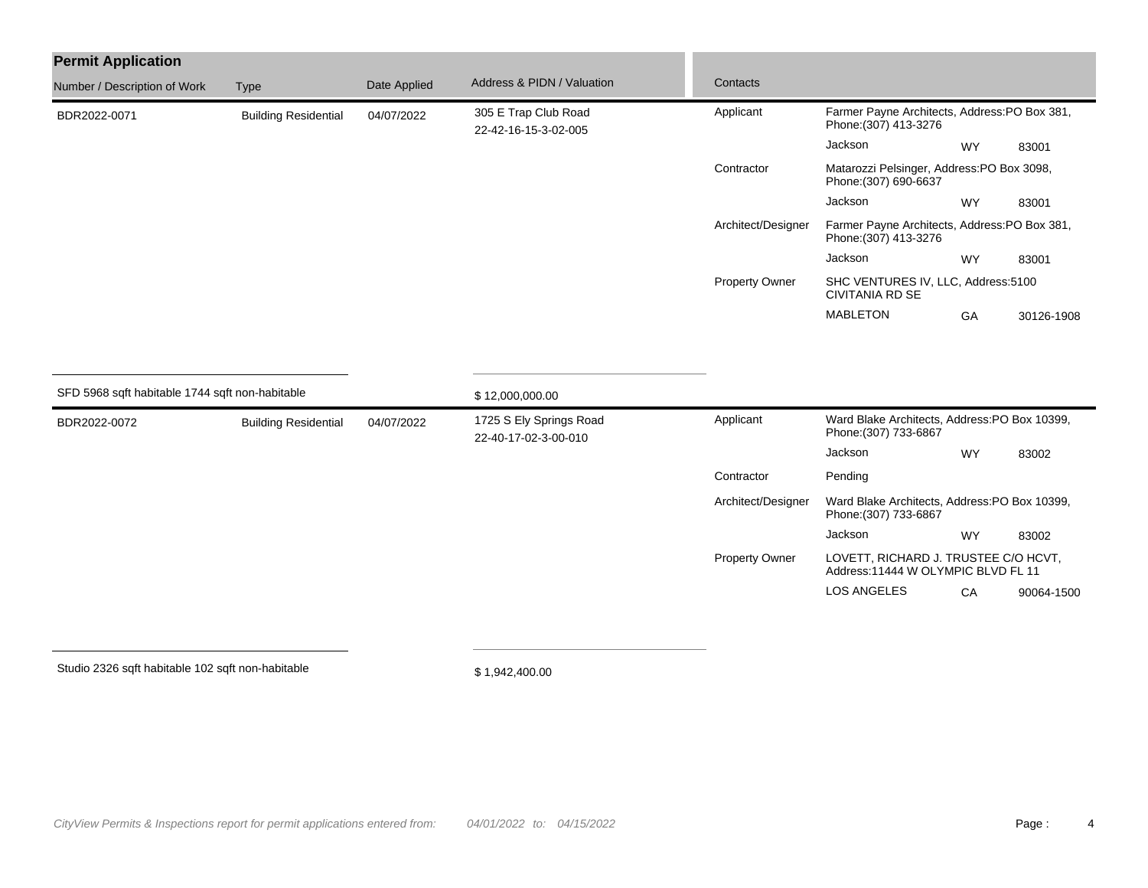| <b>Permit Application</b>    |                             |              |                                              |                       |                                                                        |           |            |
|------------------------------|-----------------------------|--------------|----------------------------------------------|-----------------------|------------------------------------------------------------------------|-----------|------------|
| Number / Description of Work | <b>Type</b>                 | Date Applied | Address & PIDN / Valuation                   | Contacts              |                                                                        |           |            |
| BDR2022-0071                 | <b>Building Residential</b> | 04/07/2022   | 305 E Trap Club Road<br>22-42-16-15-3-02-005 | Applicant             | Farmer Payne Architects, Address: PO Box 381,<br>Phone: (307) 413-3276 |           |            |
|                              |                             |              |                                              |                       | Jackson                                                                | <b>WY</b> | 83001      |
|                              |                             |              |                                              | Contractor            | Matarozzi Pelsinger, Address: PO Box 3098,<br>Phone: (307) 690-6637    |           |            |
|                              |                             |              |                                              |                       | Jackson                                                                | <b>WY</b> | 83001      |
|                              |                             |              |                                              | Architect/Designer    | Farmer Payne Architects, Address: PO Box 381,<br>Phone: (307) 413-3276 |           |            |
|                              |                             |              |                                              |                       | Jackson                                                                | <b>WY</b> | 83001      |
|                              |                             |              |                                              | <b>Property Owner</b> | SHC VENTURES IV, LLC, Address:5100<br>CIVITANIA RD SE                  |           |            |
|                              |                             |              |                                              |                       | <b>MABLETON</b>                                                        | GA        | 30126-1908 |

| SFD 5968 sqft habitable 1744 sqft non-habitable |                             | \$12,000,000.00    |                                                 |                       |                                                                             |                                               |            |  |
|-------------------------------------------------|-----------------------------|--------------------|-------------------------------------------------|-----------------------|-----------------------------------------------------------------------------|-----------------------------------------------|------------|--|
| BDR2022-0072                                    | <b>Building Residential</b> | 04/07/2022         | 1725 S Ely Springs Road<br>22-40-17-02-3-00-010 | Applicant             | Phone: (307) 733-6867                                                       | Ward Blake Architects, Address: PO Box 10399, |            |  |
|                                                 |                             |                    |                                                 |                       | Jackson                                                                     | <b>WY</b>                                     | 83002      |  |
|                                                 |                             |                    |                                                 | Contractor            | Pending                                                                     |                                               |            |  |
|                                                 |                             | Architect/Designer |                                                 | Phone: (307) 733-6867 | Ward Blake Architects, Address: PO Box 10399,                               |                                               |            |  |
|                                                 |                             |                    |                                                 |                       | Jackson                                                                     | <b>WY</b>                                     | 83002      |  |
|                                                 |                             |                    |                                                 | <b>Property Owner</b> | LOVETT, RICHARD J. TRUSTEE C/O HCVT,<br>Address: 11444 W OLYMPIC BLVD FL 11 |                                               |            |  |
|                                                 |                             |                    |                                                 |                       | <b>LOS ANGELES</b>                                                          | CA                                            | 90064-1500 |  |

Studio 2326 sqft habitable 102 sqft non-habitable

\$ 1,942,400.00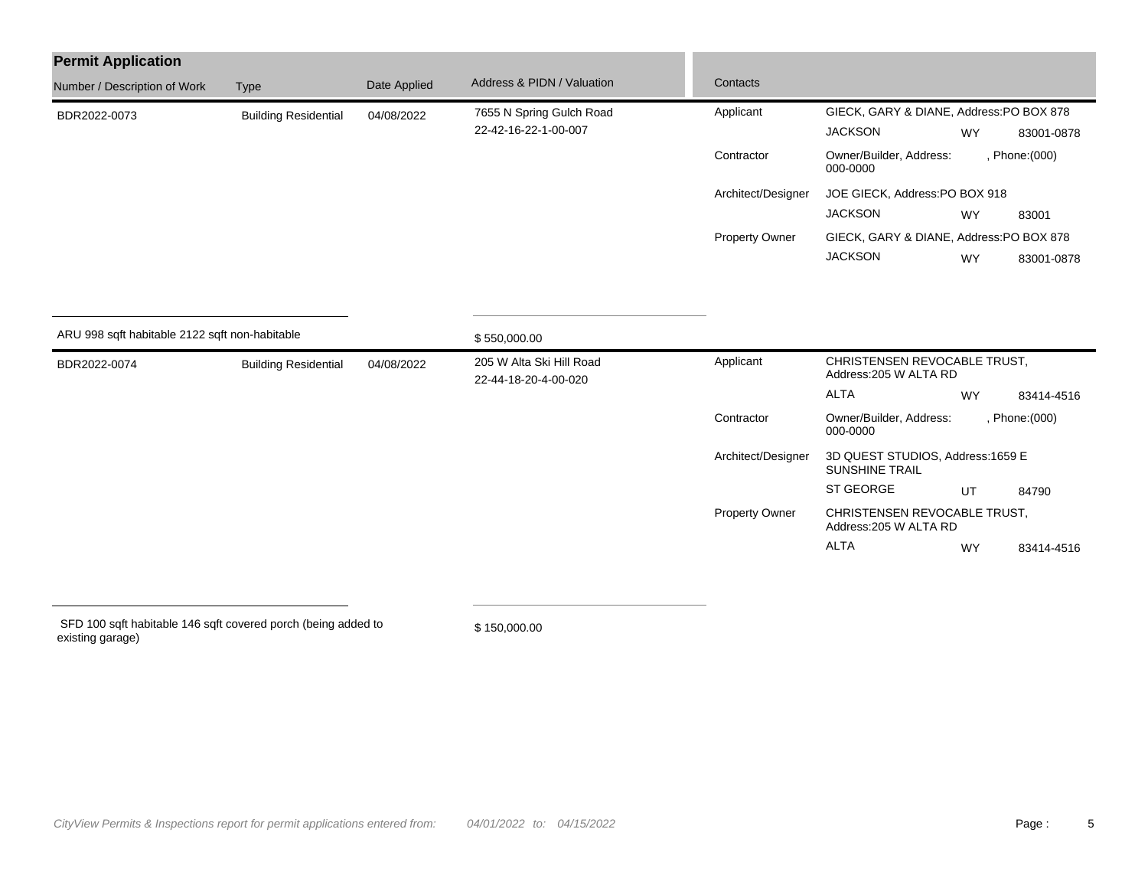| <b>Permit Application</b>                      |                             |              |                                                  |                                                           |                                                        |           |            |  |  |
|------------------------------------------------|-----------------------------|--------------|--------------------------------------------------|-----------------------------------------------------------|--------------------------------------------------------|-----------|------------|--|--|
| Number / Description of Work                   | Type                        | Date Applied | Address & PIDN / Valuation                       | Contacts                                                  |                                                        |           |            |  |  |
| BDR2022-0073                                   | <b>Building Residential</b> | 04/08/2022   | 7655 N Spring Gulch Road                         | Applicant                                                 | GIECK, GARY & DIANE, Address:PO BOX 878                |           |            |  |  |
|                                                |                             |              | 22-42-16-22-1-00-007                             |                                                           | <b>JACKSON</b>                                         | <b>WY</b> | 83001-0878 |  |  |
|                                                |                             |              |                                                  | Contractor                                                | Owner/Builder, Address:<br>, Phone: (000)<br>000-0000  |           |            |  |  |
|                                                |                             |              |                                                  | Architect/Designer                                        | JOE GIECK, Address: PO BOX 918                         |           |            |  |  |
|                                                |                             |              |                                                  |                                                           | <b>JACKSON</b>                                         | <b>WY</b> | 83001      |  |  |
|                                                |                             |              |                                                  | <b>Property Owner</b>                                     | GIECK, GARY & DIANE, Address:PO BOX 878                |           |            |  |  |
|                                                |                             |              |                                                  |                                                           | <b>JACKSON</b>                                         | <b>WY</b> | 83001-0878 |  |  |
|                                                |                             |              |                                                  |                                                           |                                                        |           |            |  |  |
| ARU 998 sqft habitable 2122 sqft non-habitable |                             |              | \$550,000.00                                     |                                                           |                                                        |           |            |  |  |
| BDR2022-0074                                   | <b>Building Residential</b> | 04/08/2022   | 205 W Alta Ski Hill Road<br>22-44-18-20-4-00-020 | Applicant                                                 | CHRISTENSEN REVOCABLE TRUST,<br>Address: 205 W ALTA RD |           |            |  |  |
|                                                |                             |              |                                                  |                                                           | <b>ALTA</b>                                            | <b>WY</b> | 83414-4516 |  |  |
|                                                |                             |              |                                                  | Contractor                                                | Owner/Builder, Address:<br>, Phone: (000)<br>000-0000  |           |            |  |  |
|                                                |                             |              | Architect/Designer                               | 3D QUEST STUDIOS, Address:1659 E<br><b>SUNSHINE TRAIL</b> |                                                        |           |            |  |  |

 SFD 100 sqft habitable 146 sqft covered porch (being added to existing garage)

\$ 150,000.00

ST GEORGE UT 84790

ALTA WY 83414-4516

Property Owner CHRISTENSEN REVOCABLE TRUST, Address:205 W ALTA RD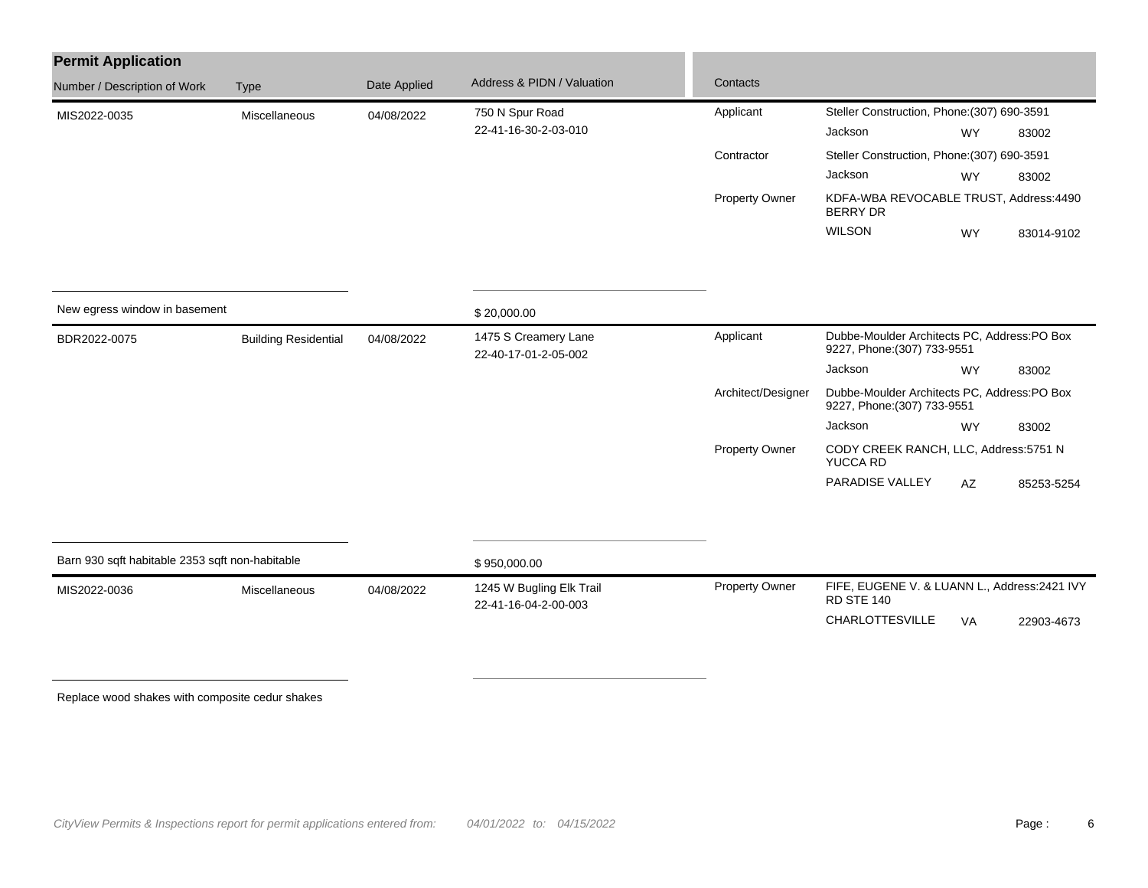| <b>Permit Application</b>                       |                             |                                                            |                                                  |                                                                            |                                                                            |           |            |  |
|-------------------------------------------------|-----------------------------|------------------------------------------------------------|--------------------------------------------------|----------------------------------------------------------------------------|----------------------------------------------------------------------------|-----------|------------|--|
| Number / Description of Work                    | <b>Type</b>                 | Date Applied                                               | Address & PIDN / Valuation                       | Contacts                                                                   |                                                                            |           |            |  |
| MIS2022-0035                                    | Miscellaneous               | 04/08/2022                                                 | 750 N Spur Road                                  | Applicant                                                                  | Steller Construction, Phone: (307) 690-3591                                |           |            |  |
|                                                 |                             |                                                            | 22-41-16-30-2-03-010                             |                                                                            | Jackson                                                                    | WY        | 83002      |  |
|                                                 |                             |                                                            |                                                  | Contractor                                                                 | Steller Construction, Phone: (307) 690-3591                                |           |            |  |
|                                                 |                             |                                                            |                                                  |                                                                            | Jackson                                                                    | <b>WY</b> | 83002      |  |
|                                                 |                             |                                                            |                                                  | Property Owner                                                             | KDFA-WBA REVOCABLE TRUST, Address:4490<br><b>BERRY DR</b>                  |           |            |  |
|                                                 |                             |                                                            |                                                  |                                                                            | <b>WILSON</b>                                                              | <b>WY</b> | 83014-9102 |  |
|                                                 |                             |                                                            |                                                  |                                                                            |                                                                            |           |            |  |
| New egress window in basement                   |                             |                                                            | \$20,000.00                                      |                                                                            |                                                                            |           |            |  |
| BDR2022-0075                                    | <b>Building Residential</b> | 1475 S Creamery Lane<br>04/08/2022<br>22-40-17-01-2-05-002 | Applicant                                        | Dubbe-Moulder Architects PC, Address:PO Box<br>9227, Phone: (307) 733-9551 |                                                                            |           |            |  |
|                                                 |                             |                                                            |                                                  |                                                                            | Jackson                                                                    | <b>WY</b> | 83002      |  |
|                                                 |                             |                                                            |                                                  | Architect/Designer                                                         | Dubbe-Moulder Architects PC, Address:PO Box<br>9227, Phone: (307) 733-9551 |           |            |  |
|                                                 |                             |                                                            |                                                  |                                                                            | Jackson                                                                    | <b>WY</b> | 83002      |  |
|                                                 |                             |                                                            |                                                  | Property Owner                                                             | CODY CREEK RANCH, LLC, Address:5751 N<br><b>YUCCA RD</b>                   |           |            |  |
|                                                 |                             |                                                            |                                                  |                                                                            | PARADISE VALLEY                                                            | AZ        | 85253-5254 |  |
|                                                 |                             |                                                            |                                                  |                                                                            |                                                                            |           |            |  |
| Barn 930 sqft habitable 2353 sqft non-habitable |                             |                                                            | \$950,000.00                                     |                                                                            |                                                                            |           |            |  |
| MIS2022-0036                                    | Miscellaneous               | 04/08/2022                                                 | 1245 W Bugling Elk Trail<br>22-41-16-04-2-00-003 | <b>Property Owner</b>                                                      | FIFE, EUGENE V. & LUANN L., Address: 2421 IVY<br><b>RD STE 140</b>         |           |            |  |
|                                                 |                             |                                                            |                                                  |                                                                            | CHARLOTTESVILLE                                                            | VA        | 22903-4673 |  |
|                                                 |                             |                                                            |                                                  |                                                                            |                                                                            |           |            |  |
|                                                 |                             |                                                            |                                                  |                                                                            |                                                                            |           |            |  |

Replace wood shakes with composite cedur shakes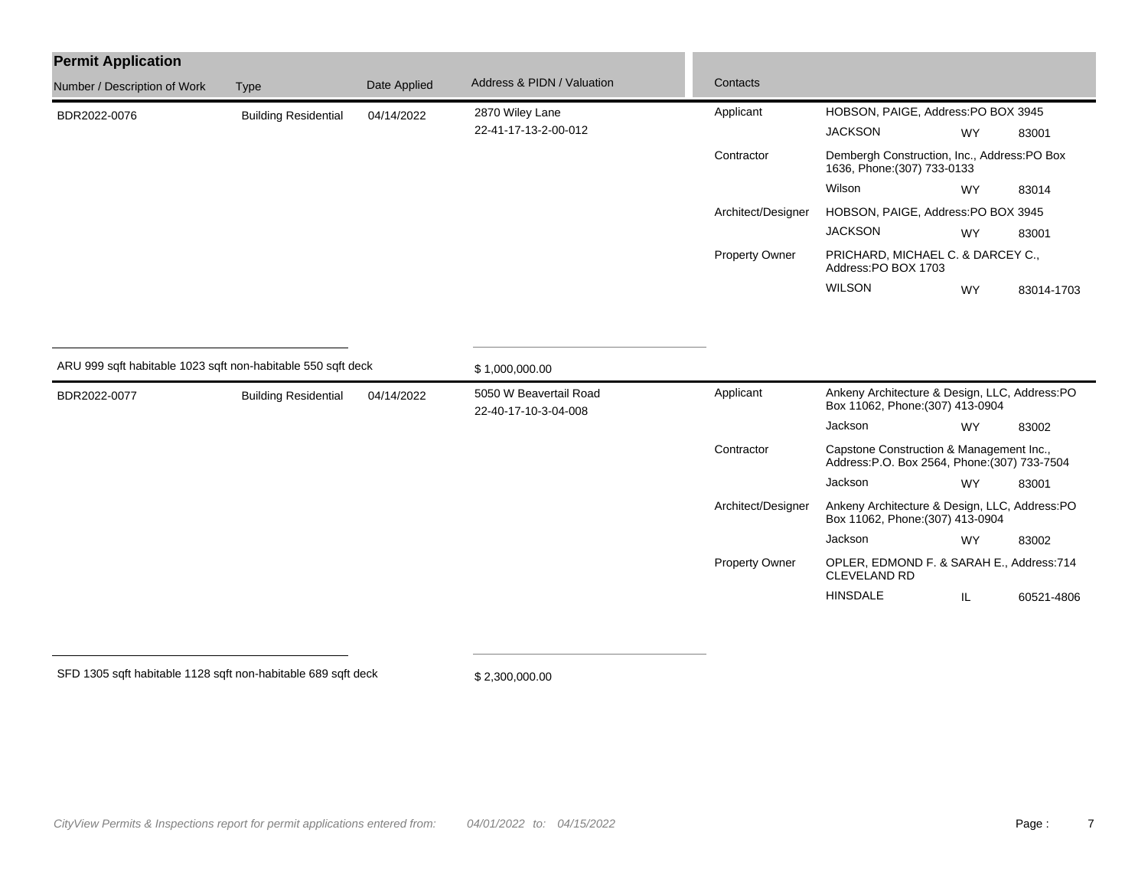| <b>Permit Application</b>                                                                                   |                             |              |                                          |                       |                                                                                           |           |            |
|-------------------------------------------------------------------------------------------------------------|-----------------------------|--------------|------------------------------------------|-----------------------|-------------------------------------------------------------------------------------------|-----------|------------|
| Number / Description of Work                                                                                | <b>Type</b>                 | Date Applied | Address & PIDN / Valuation               | Contacts              |                                                                                           |           |            |
| BDR2022-0076                                                                                                | <b>Building Residential</b> | 04/14/2022   | 2870 Wiley Lane                          | Applicant             | HOBSON, PAIGE, Address: PO BOX 3945                                                       |           |            |
|                                                                                                             |                             |              | 22-41-17-13-2-00-012                     |                       | <b>JACKSON</b>                                                                            | <b>WY</b> | 83001      |
|                                                                                                             |                             |              |                                          | Contractor            | Dembergh Construction, Inc., Address:PO Box<br>1636, Phone: (307) 733-0133                |           |            |
|                                                                                                             |                             |              |                                          |                       | Wilson                                                                                    | <b>WY</b> | 83014      |
|                                                                                                             |                             |              |                                          | Architect/Designer    | HOBSON, PAIGE, Address: PO BOX 3945                                                       |           |            |
|                                                                                                             |                             |              |                                          |                       | <b>JACKSON</b>                                                                            | <b>WY</b> | 83001      |
|                                                                                                             |                             |              |                                          | <b>Property Owner</b> | PRICHARD, MICHAEL C. & DARCEY C.,<br>Address:PO BOX 1703                                  |           |            |
|                                                                                                             |                             |              |                                          |                       | <b>WILSON</b>                                                                             | <b>WY</b> | 83014-1703 |
| ARU 999 sqft habitable 1023 sqft non-habitable 550 sqft deck<br>BDR2022-0077<br><b>Building Residential</b> |                             | 04/14/2022   | \$1,000,000.00<br>5050 W Beavertail Road | Applicant             | Ankeny Architecture & Design, LLC, Address:PO                                             |           |            |
|                                                                                                             |                             |              | 22-40-17-10-3-04-008                     |                       | Box 11062, Phone: (307) 413-0904                                                          |           |            |
|                                                                                                             |                             |              |                                          |                       | Jackson                                                                                   | <b>WY</b> | 83002      |
|                                                                                                             |                             |              |                                          | Contractor            | Capstone Construction & Management Inc.,<br>Address: P.O. Box 2564, Phone: (307) 733-7504 |           |            |
|                                                                                                             |                             |              |                                          |                       | Jackson                                                                                   | <b>WY</b> | 83001      |
|                                                                                                             |                             |              |                                          | Architect/Designer    | Ankeny Architecture & Design, LLC, Address:PO<br>Box 11062, Phone: (307) 413-0904         |           |            |
|                                                                                                             |                             |              |                                          |                       | Jackson                                                                                   | <b>WY</b> | 83002      |
|                                                                                                             |                             |              |                                          | <b>Property Owner</b> | OPLER, EDMOND F. & SARAH E., Address:714<br>CLEVELAND RD                                  |           |            |
|                                                                                                             |                             |              |                                          |                       | <b>HINSDALE</b>                                                                           | IL        | 60521-4806 |

SFD 1305 sqft habitable 1128 sqft non-habitable 689 sqft deck

\$ 2,300,000.00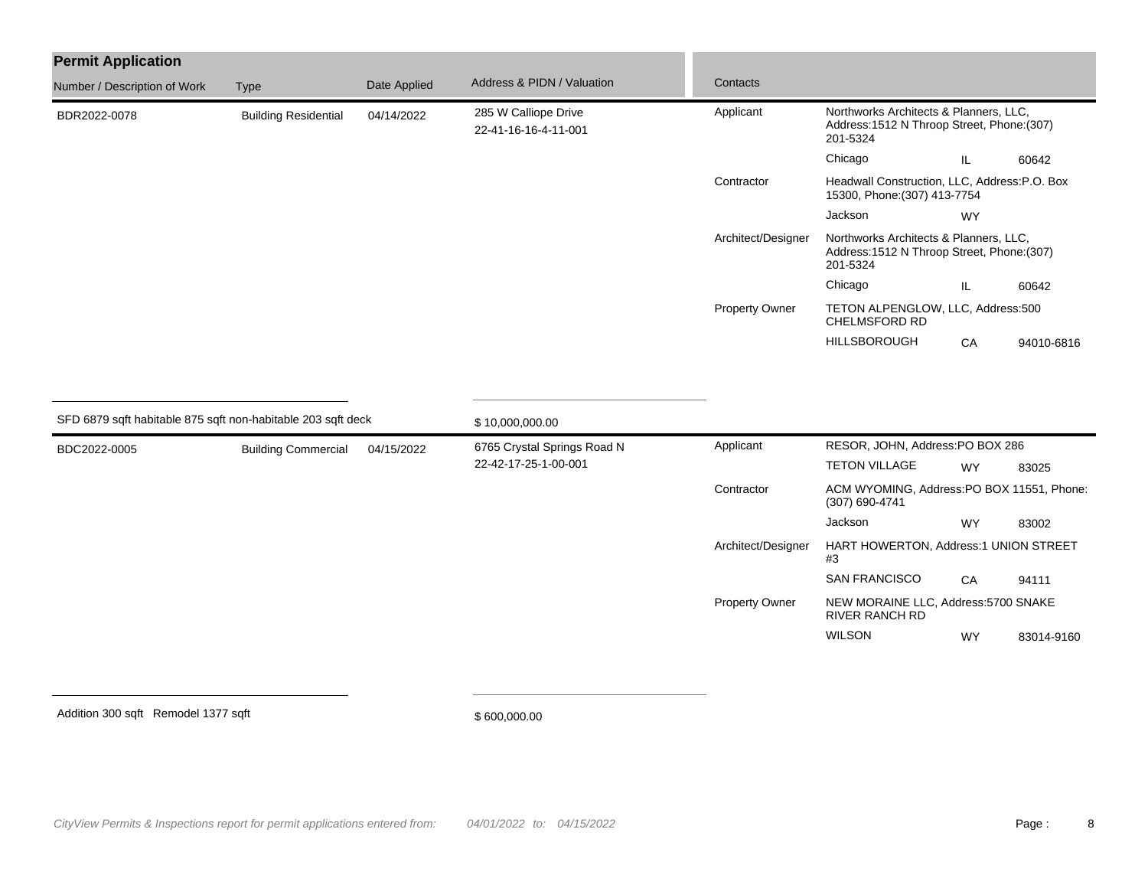| <b>Permit Application</b>    |                                                              |              |                                              |                       |                                                                                                   |               |            |  |
|------------------------------|--------------------------------------------------------------|--------------|----------------------------------------------|-----------------------|---------------------------------------------------------------------------------------------------|---------------|------------|--|
| Number / Description of Work | <b>Type</b>                                                  | Date Applied | Address & PIDN / Valuation                   | Contacts              |                                                                                                   |               |            |  |
| BDR2022-0078                 | <b>Building Residential</b>                                  | 04/14/2022   | 285 W Calliope Drive<br>22-41-16-16-4-11-001 | Applicant             | Northworks Architects & Planners, LLC,<br>Address: 1512 N Throop Street, Phone: (307)<br>201-5324 |               |            |  |
|                              |                                                              |              |                                              |                       | Chicago                                                                                           | $\mathsf{IL}$ | 60642      |  |
|                              |                                                              |              |                                              | Contractor            | Headwall Construction, LLC, Address:P.O. Box<br>15300, Phone: (307) 413-7754                      |               |            |  |
|                              |                                                              |              |                                              |                       | Jackson                                                                                           | <b>WY</b>     |            |  |
|                              |                                                              |              |                                              | Architect/Designer    | Northworks Architects & Planners, LLC,<br>Address: 1512 N Throop Street, Phone: (307)<br>201-5324 |               |            |  |
|                              |                                                              |              |                                              |                       | Chicago                                                                                           | IL            | 60642      |  |
|                              |                                                              |              |                                              | <b>Property Owner</b> | TETON ALPENGLOW, LLC, Address:500<br>CHELMSFORD RD                                                |               |            |  |
|                              |                                                              |              |                                              |                       | <b>HILLSBOROUGH</b>                                                                               | CA            | 94010-6816 |  |
|                              | SFD 6879 sqft habitable 875 sqft non-habitable 203 sqft deck |              | \$10,000,000.00                              |                       |                                                                                                   |               |            |  |
| BDC2022-0005                 | <b>Building Commercial</b>                                   | 04/15/2022   | 6765 Crystal Springs Road N                  | Applicant             | RESOR, JOHN, Address:PO BOX 286                                                                   |               |            |  |
|                              |                                                              |              | 22-42-17-25-1-00-001                         |                       | <b>TETON VILLAGE</b>                                                                              | WY            | 83025      |  |
|                              |                                                              |              |                                              | Contractor            | ACM WYOMING, Address:PO BOX 11551, Phone:<br>(307) 690-4741                                       |               |            |  |
|                              |                                                              |              |                                              |                       | Jackson                                                                                           | WY            | 83002      |  |
|                              |                                                              |              |                                              | Architect/Designer    | HART HOWERTON, Address:1 UNION STREET<br>#3                                                       |               |            |  |
|                              |                                                              |              |                                              |                       | SAN FRANCISCO                                                                                     | CA            | 94111      |  |
|                              |                                                              |              |                                              | <b>Property Owner</b> | NEW MORAINE LLC, Address:5700 SNAKE<br>RIVER RANCH RD                                             |               |            |  |
|                              |                                                              |              |                                              |                       | <b>WILSON</b>                                                                                     | <b>WY</b>     | 83014-9160 |  |
|                              |                                                              |              |                                              |                       |                                                                                                   |               |            |  |

Addition 300 sqft Remodel 1377 sqft

\$ 600,000.00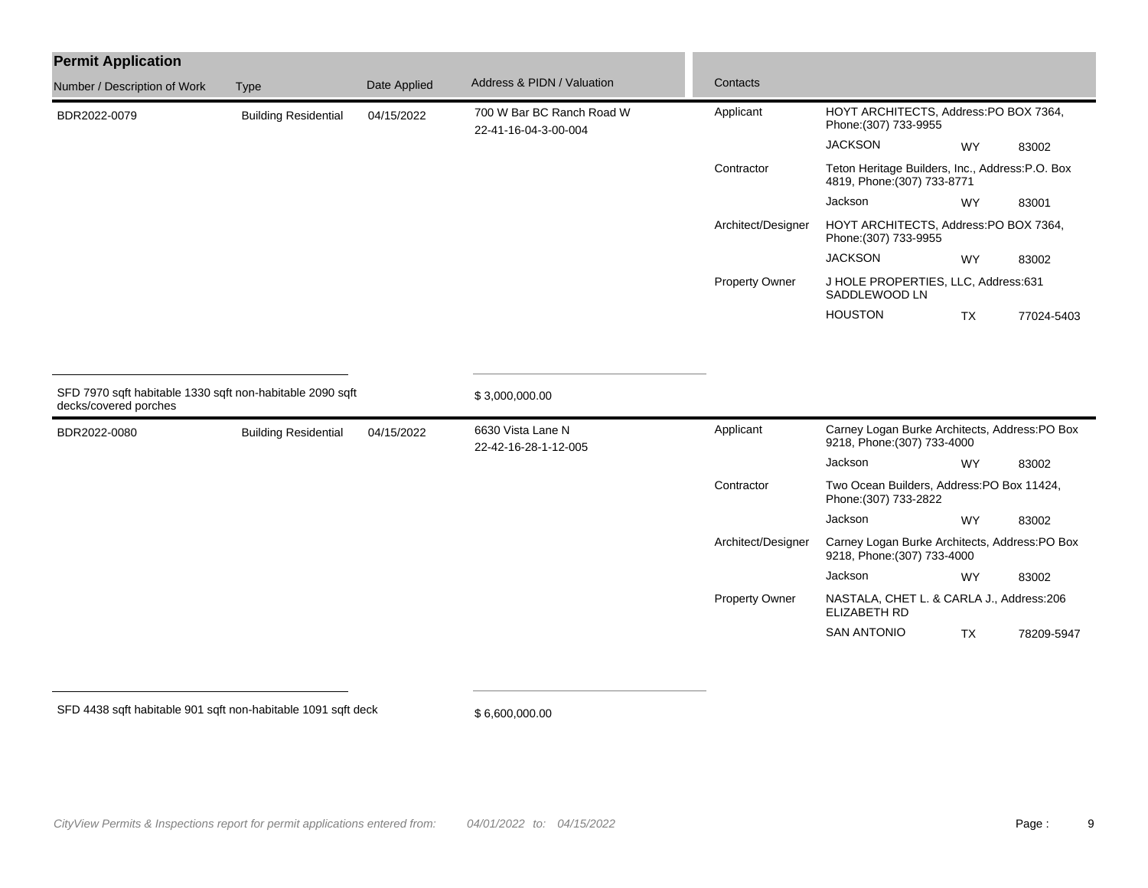| <b>Permit Application</b>    |                                                           |              |                                                   |                       |                                                                                |                                       |            |
|------------------------------|-----------------------------------------------------------|--------------|---------------------------------------------------|-----------------------|--------------------------------------------------------------------------------|---------------------------------------|------------|
| Number / Description of Work | <b>Type</b>                                               | Date Applied | Address & PIDN / Valuation                        | Contacts              |                                                                                |                                       |            |
| BDR2022-0079                 | <b>Building Residential</b>                               | 04/15/2022   | 700 W Bar BC Ranch Road W<br>22-41-16-04-3-00-004 | Applicant             | HOYT ARCHITECTS, Address:PO BOX 7364,<br>Phone: (307) 733-9955                 |                                       |            |
|                              |                                                           |              |                                                   |                       | <b>JACKSON</b>                                                                 | <b>WY</b>                             | 83002      |
|                              |                                                           |              |                                                   | Contractor            | Teton Heritage Builders, Inc., Address:P.O. Box<br>4819, Phone: (307) 733-8771 |                                       |            |
|                              |                                                           |              |                                                   |                       | Jackson                                                                        | WY                                    | 83001      |
|                              |                                                           |              |                                                   | Architect/Designer    | Phone: (307) 733-9955                                                          | HOYT ARCHITECTS, Address:PO BOX 7364, |            |
|                              |                                                           |              |                                                   |                       | <b>JACKSON</b>                                                                 | <b>WY</b>                             | 83002      |
|                              |                                                           |              |                                                   | <b>Property Owner</b> | J HOLE PROPERTIES, LLC, Address:631<br>SADDLEWOOD LN                           |                                       |            |
|                              |                                                           |              |                                                   |                       | <b>HOUSTON</b>                                                                 | <b>TX</b>                             | 77024-5403 |
| decks/covered porches        | SFD 7970 sqft habitable 1330 sqft non-habitable 2090 sqft |              | \$3,000,000.00                                    |                       |                                                                                |                                       |            |
| BDR2022-0080                 | <b>Building Residential</b>                               | 04/15/2022   | 6630 Vista Lane N<br>22-42-16-28-1-12-005         | Applicant             | Carney Logan Burke Architects, Address:PO Box<br>9218, Phone: (307) 733-4000   |                                       |            |
|                              |                                                           |              |                                                   |                       | Jackson                                                                        | <b>WY</b>                             | 83002      |
|                              |                                                           |              |                                                   | Contractor            | Two Ocean Builders, Address: PO Box 11424,<br>Phone: (307) 733-2822            |                                       |            |
|                              |                                                           |              |                                                   |                       | Jackson                                                                        | <b>WY</b>                             | 83002      |
|                              |                                                           |              |                                                   | Architect/Designer    | Carney Logan Burke Architects, Address:PO Box<br>9218, Phone: (307) 733-4000   |                                       |            |
|                              |                                                           |              |                                                   |                       | Jackson                                                                        | <b>WY</b>                             | 83002      |
|                              |                                                           |              |                                                   | Property Owner        | NASTALA, CHET L. & CARLA J., Address:206<br><b>ELIZABETH RD</b>                |                                       |            |
|                              |                                                           |              |                                                   |                       | <b>SAN ANTONIO</b>                                                             | <b>TX</b>                             | 78209-5947 |
|                              |                                                           |              |                                                   |                       |                                                                                |                                       |            |

SFD 4438 sqft habitable 901 sqft non-habitable 1091 sqft deck

\$ 6,600,000.00